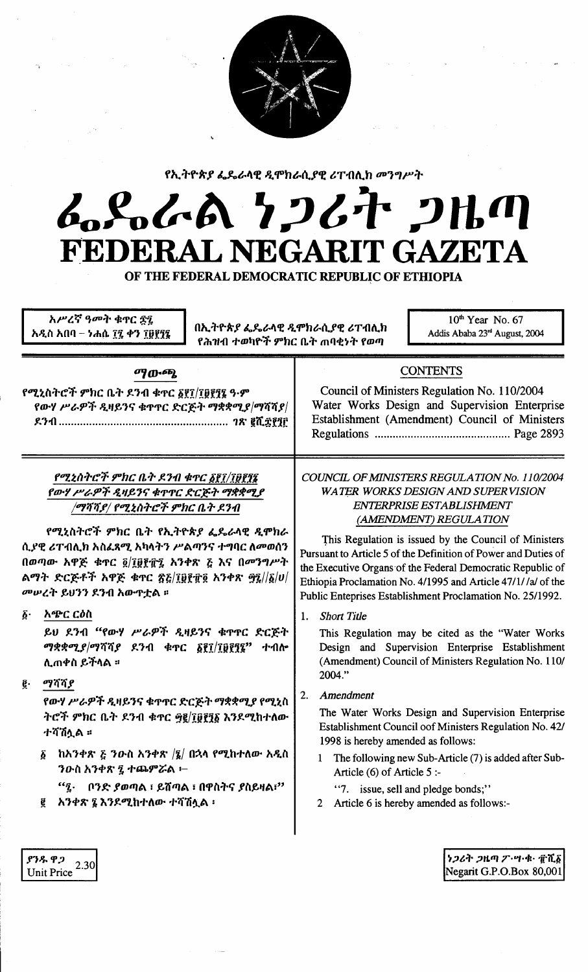

የኢትዮጵያ ፌዴራላዊ ዲሞክራሲያዊ ሪፐብሊክ መንግሥት

# んとんへ ケンムヤ ンルの FEDERAL NEGARIT GAZETA

OF THE FEDERAL DEMOCRATIC REPUBLIC OF ETHIOPIA

| <b>CONTENTS</b><br>ማውጫ<br>የሚኒስትሮች ምክር ቤት ደንብ ቁዋር <u>፩</u> ፻7/፲፱፻፺፮ ዓ·ም<br>የውሃ ሥራዎች ዲዛይንና ቁጥጥር ድርጅት ማቋቋሚያ/ማሻሻያ/<br>የሚኒስትሮች ምክር ቤት ደንብ ቁዋር ፩፪፲/፲፱፻፶፯<br>የውሃ ሥራዎች ዲዛይንና ቁጥፐር ድርጅት ማቋቋሚያ<br>ENTERPRISE ESTABLISHMENT<br>/ማሻሻይ/ የሚኒስትሮች ምክር ቤት ደንብ<br>(AMENDMENT) REGULATION<br>የሚኒስትሮች ምክር ቤት የኢትዮጵያ ፌዴራላዊ ዲሞክራ<br>ሲያዊ ሪፐብሊክ አስፈጻሚ አካላትን ሥልጣንና ተግባር ለመወሰን<br>በወጣው አዋጅ ቁጥር ፬/፲፱፻፹፯ አንቀጽ ፩ እና በመንግሥት<br>ልማት ድርጅቶች አዋጅ ቁጥር ፳፩/፲፱፻፹፬ አንቀጽ ፵፯//፩/ሀ/<br>መሠረት ይህንን ደንብ አውዋቷል ፡፡<br>$\boldsymbol{\delta}$ .<br>አጭር ርዕስ<br><b>Short Title</b><br>$1_{-}$<br>ይህ ደንብ "የውሃ ሥራዎች ዲዛይንና ቁጥኖር ድርጅት<br>ማቋቋሚ <i>ያ ማሻሻያ</i> ደንብ ቁጥር <u>፩፻፲/፲፱፻</u> ፺፮" ተብሎ<br>ሊጠቀስ ይችላል ፡፡<br>2004."<br>ማሻሻያ<br>ğ.<br>Amendment<br>2.<br>የውሃ ሥራዎች ዲዛይንና ቁጥኖር ድርጅት ማቋቋሚያ የሚኒስ<br>ትሮች ምክር ቤት ደንብ ቁጥር ፵፪/፲፱፻፺፩ እንደሚከተለው<br>ተሻሽሏል ።<br>1998 is hereby amended as follows: | አሥረኛ ዓመት ቁኖር ጅ፤<br>$10th$ Year No. 67<br>በኢትዮጵያ ፌዴራላዊ ዲሞክራሲያዊ ሪፐብሊክ<br>አዲስ አበባ – ነሐሴ ፲፯ ቀን ፲፱፻፺፯<br>Addis Ababa 23rd August, 2004<br>የሕዝብ ተወካዮች ምክር ቤት ጠባቂነት የወጣ |                                                                                                                                                                                                                                                                                                                                                                                                          |
|---------------------------------------------------------------------------------------------------------------------------------------------------------------------------------------------------------------------------------------------------------------------------------------------------------------------------------------------------------------------------------------------------------------------------------------------------------------------------------------------------------------------------------------------------------------------------------------------------------------------------------------------------------------------------------------------------------------------------------------------------------------------------------------------------------------------------------|------------------------------------------------------------------------------------------------------------------------------------------------------------------|----------------------------------------------------------------------------------------------------------------------------------------------------------------------------------------------------------------------------------------------------------------------------------------------------------------------------------------------------------------------------------------------------------|
|                                                                                                                                                                                                                                                                                                                                                                                                                                                                                                                                                                                                                                                                                                                                                                                                                                 |                                                                                                                                                                  | Council of Ministers Regulation No. 110/2004<br>Water Works Design and Supervision Enterprise<br>Establishment (Amendment) Council of Ministers                                                                                                                                                                                                                                                          |
|                                                                                                                                                                                                                                                                                                                                                                                                                                                                                                                                                                                                                                                                                                                                                                                                                                 |                                                                                                                                                                  | COUNCIL OF MINISTERS REGULATION No. 110/2004<br>WATER WORKS DESIGN AND SUPERVISION<br>This Regulation is issued by the Council of Ministers<br>Pursuant to Article 5 of the Definition of Power and Duties of<br>the Executive Organs of the Federal Democratic Republic of<br>Ethiopia Proclamation No. 4/1995 and Article 47/1//a/ of the<br>Public Enteprises Establishment Proclamation No. 25/1992. |
| $\mathbf{I}$<br><i>ንዑ</i> ስ አንቀጽ ፯ ተጨምሯል ፦<br>Article $(6)$ of Article 5 :-<br>ቦንድ ያወጣል ፣ ይሸጣል ፣ በዋስትና ያስይዛል፣"<br>$a_i$<br>"7. issue, sell and pledge bonds;"<br>አንቀጽ ፯ እንደሚከተለው ተሻሽሏል ፡<br>Article 6 is hereby amended as follows:-<br>ğ                                                                                                                                                                                                                                                                                                                                                                                                                                                                                                                                                                                       | ከአንቀጽ $\zeta$ ንውስ አንቀጽ $ \zeta $ በኋላ የሚከተለው አዲስ<br>$\boldsymbol{\delta}$                                                                                         | This Regulation may be cited as the "Water Works<br>Design and Supervision Enterprise Establishment<br>(Amendment) Council of Ministers Regulation No. 110/<br>The Water Works Design and Supervision Enterprise<br>Establishment Council oof Ministers Regulation No. 42/<br>The following new Sub-Article (7) is added after Sub-                                                                      |

| ያንዱ ዋጋ            | 2.30 |
|-------------------|------|
| <b>Unit Price</b> |      |

Negarit G.P.O.Box 80,001